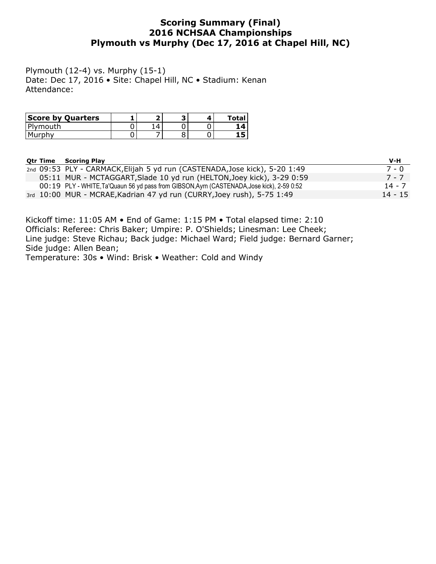### **Scoring Summary (Final) 2016 NCHSAA Championships Plymouth vs Murphy (Dec 17, 2016 at Chapel Hill, NC)**

Plymouth (12-4) vs. Murphy (15-1) Date: Dec 17, 2016 • Site: Chapel Hill, NC • Stadium: Kenan Attendance:

| <b>Score by Quarters</b> |  |  | Tota.    |
|--------------------------|--|--|----------|
| Plymouth                 |  |  | $\Delta$ |
| Murphy                   |  |  |          |

|  | <b>Otr Time Scoring Play</b>                                                               | V-H       |
|--|--------------------------------------------------------------------------------------------|-----------|
|  | 2nd 09:53 PLY - CARMACK, Elijah 5 yd run (CASTENADA, Jose kick), 5-20 1:49                 | 7 - 0     |
|  | 05:11 MUR - MCTAGGART, Slade 10 yd run (HELTON, Joey kick), 3-29 0:59                      | 7 - 7     |
|  | 00:19 PLY - WHITE, Ta'Quaun 56 yd pass from GIBSON, Ayrn (CASTENADA, Jose kick), 2-59 0:52 | 14 - 7    |
|  | 3rd 10:00 MUR - MCRAE, Kadrian 47 yd run (CURRY, Joey rush), 5-75 1:49                     | $14 - 15$ |

Kickoff time: 11:05 AM • End of Game: 1:15 PM • Total elapsed time: 2:10 Officials: Referee: Chris Baker; Umpire: P. O'Shields; Linesman: Lee Cheek; Line judge: Steve Richau; Back judge: Michael Ward; Field judge: Bernard Garner; Side judge: Allen Bean;

Temperature: 30s • Wind: Brisk • Weather: Cold and Windy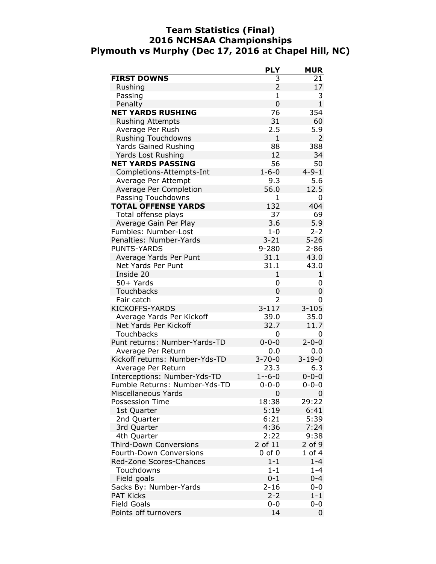### **Team Statistics (Final) 2016 NCHSAA Championships Plymouth vs Murphy (Dec 17, 2016 at Chapel Hill, NC)**

|                                | <b>PLY</b>     | <b>MUR</b>   |
|--------------------------------|----------------|--------------|
| <b>FIRST DOWNS</b>             | 3              | 21           |
| Rushing                        | $\overline{2}$ | 17           |
| Passing                        | $\mathbf{1}$   | 3            |
| Penalty                        | $\mathbf 0$    | $\mathbf{1}$ |
| <b>NET YARDS RUSHING</b>       | 76             | 354          |
| <b>Rushing Attempts</b>        | 31             | 60           |
| Average Per Rush               | 2.5            | 5.9          |
| <b>Rushing Touchdowns</b>      | $\mathbf{1}$   | 2            |
| <b>Yards Gained Rushing</b>    | 88             | 388          |
| Yards Lost Rushing             | 12             | 34           |
| <b>NET YARDS PASSING</b>       | 56             | 50           |
| Completions-Attempts-Int       | $1 - 6 - 0$    | $4 - 9 - 1$  |
| Average Per Attempt            | 9.3            | 5.6          |
| Average Per Completion         | 56.0           | 12.5         |
| Passing Touchdowns             | 1              | 0            |
| <b>TOTAL OFFENSE YARDS</b>     | 132            | 404          |
| Total offense plays            | 37             | 69           |
| Average Gain Per Play          | 3.6            | 5.9          |
| Fumbles: Number-Lost           | $1 - 0$        | $2 - 2$      |
| Penalties: Number-Yards        | $3 - 21$       | $5 - 26$     |
| <b>PUNTS-YARDS</b>             | 9-280          | $2 - 86$     |
| Average Yards Per Punt         | 31.1           | 43.0         |
| <b>Net Yards Per Punt</b>      | 31.1           | 43.0         |
| Inside 20                      | $\mathbf{1}$   | 1            |
| 50+ Yards                      | 0              | 0            |
| <b>Touchbacks</b>              | 0              | 0            |
| Fair catch                     | 2              | 0            |
| <b>KICKOFFS-YARDS</b>          | $3 - 117$      | $3 - 105$    |
| Average Yards Per Kickoff      | 39.0           | 35.0         |
| Net Yards Per Kickoff          | 32.7           | 11.7         |
| Touchbacks                     | 0              | 0            |
| Punt returns: Number-Yards-TD  | $0 - 0 - 0$    | $2 - 0 - 0$  |
| Average Per Return             | 0.0            | 0.0          |
| Kickoff returns: Number-Yds-TD | $3 - 70 - 0$   | $3 - 19 - 0$ |
| Average Per Return             | 23.3           | 6.3          |
| Interceptions: Number-Yds-TD   | $1 - -6 - 0$   | $0 - 0 - 0$  |
| Fumble Returns: Number-Yds-TD  | $0 - 0 - 0$    | $0 - 0 - 0$  |
| Miscellaneous Yards            | 0              | 0            |
| <b>Possession Time</b>         | 18:38          | 29:22        |
| 1st Quarter                    | 5:19           | 6:41         |
| 2nd Quarter                    | 6:21           | 5:39         |
| 3rd Quarter                    | 4:36           | 7:24         |
| 4th Quarter                    | 2:22           | 9:38         |
| <b>Third-Down Conversions</b>  | 2 of 11        | $2$ of $9$   |
| Fourth-Down Conversions        | $0$ of $0$     | 1 of 4       |
| Red-Zone Scores-Chances        | $1 - 1$        | $1 - 4$      |
| Touchdowns                     | $1 - 1$        | $1 - 4$      |
|                                | $0 - 1$        |              |
| Field goals                    | $2 - 16$       | $0 - 4$      |
| Sacks By: Number-Yards         |                | $0 - 0$      |
| <b>PAT Kicks</b>               | $2 - 2$        | $1 - 1$      |
| <b>Field Goals</b>             | $0 - 0$        | $0 - 0$      |
| Points off turnovers           | 14             | 0            |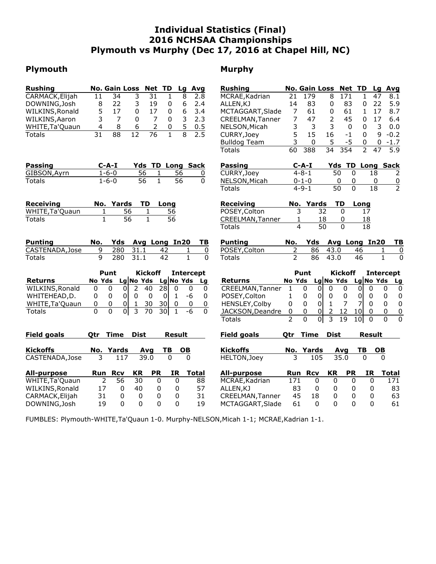### **Individual Statistics (Final) 2016 NCHSAA Championships Plymouth vs Murphy (Dec 17, 2016 at Chapel Hill, NC)**

### **Plymouth Murphy**

| $\overline{8}$<br>CARMACK, Elijah<br>11<br>34<br>3<br>$\overline{31}$<br>2.8<br>MCRAE, Kadrian<br>179<br>8<br>171<br>$\mathbf{1}$<br>47<br>1<br>21<br>8.1<br>22<br>6<br>83<br>22<br>DOWNING, Josh<br>8<br>3<br>19<br>2.4<br>14<br>83<br>5.9<br>0<br>ALLEN, KJ<br>0<br>0<br>5<br>6<br>17<br>0<br>17<br>$\mathbf 0$<br>3.4<br>$\overline{7}$<br>61<br>$\mathbf{1}$<br>17<br>8.7<br>WILKINS, Ronald<br>MCTAGGART, Slade<br>61<br>0<br>3<br>$\overline{7}$<br>$\overline{7}$<br>7<br>3<br>45<br>17<br>WILKINS, Aaron<br>$\mathbf{0}$<br>2.3<br>47<br>2<br>6.4<br>0<br>CREELMAN, Tanner<br>0<br>5<br>3<br>3<br>4<br>2<br>3<br>3<br>0.0<br>WHITE, Ta' Quaun<br>8<br>6<br>0<br>NELSON, Micah<br>$\mathbf 0$<br>0<br>0.5<br>$\overline{8}$<br>$\overline{2.5}$<br>$\overline{31}$<br>$\overline{88}$<br>$\overline{12}$<br>$\overline{76}$<br>$\mathbf{1}$<br>5<br>15<br>16<br>9<br>$-0.2$<br>CURRY, Joey<br>$-1$<br>$\mathbf{0}$<br>Totals<br>3<br>$-5$<br>$\mathbf 0$<br>5<br><b>Bulldog Team</b><br>$-1.7$<br>0<br>0<br>$\overline{2}$<br>$\overline{34}$<br>354<br>$\overline{5.9}$<br>60<br>388<br>47<br><b>Totals</b><br>Yds TD Long Sack<br>Yds TD Long Sack<br>$C-A-I$<br>$C-A-I$<br>Passing<br><b>Passing</b><br>$1 - 6 - 0$<br>56<br>CURRY, Joey<br>$4 - 8 - 1$<br>50<br>$\mathbf 0$<br>GIBSON, Ayrn<br>56<br>18<br>1<br>2<br>0<br>$\mathbf{1}$<br>$\overline{56}$<br>$1 - 6 - 0$<br>56<br>$\Omega$<br>0<br><b>Totals</b><br>NELSON, Micah<br>$0 - 1 - 0$<br>0<br>0<br>$\overline{0}$<br>$\overline{2}$<br>$\overline{0}$<br>$4 - 9 - 1$<br>$\overline{50}$<br>$\overline{18}$<br><b>Totals</b><br>No. Yards<br>TD<br><b>Receiving</b><br>TD<br><b>Receiving</b><br>Long<br>No. Yards<br>Long<br>56<br>POSEY, Colton<br>3<br>32<br>WHITE, Ta' Quaun<br>56<br>$\Omega$<br>1<br>17<br>1<br>$\mathbf{1}$<br>$\overline{56}$<br>$\mathbf{1}$<br>$\overline{56}$<br><b>Totals</b><br>CREELMAN, Tanner<br>18<br>1<br>0<br>18<br>$\overline{50}$<br>$\Omega$<br>4<br><b>Totals</b><br>18<br><b>Punting</b><br>Yds<br>Avg Long In20<br><b>Punting</b><br>No.<br>Yds<br>Avg Long In20<br>TB<br>No.<br>ΤВ<br>9<br>$\overline{2}$<br>280<br>31.1<br>POSEY, Colton<br>86<br>CASTENADA, Jose<br>42<br>$\pmb{0}$<br>43.0<br>46<br>$\overline{0}$<br>1<br>1<br>9<br>$\overline{1}$<br>$\overline{0}$<br>$\overline{2}$<br>$\mathbf{1}$<br>280<br>31.1<br>42<br>$\Omega$<br>86<br>43.0<br>46<br><b>Totals</b><br><b>Totals</b><br>Punt<br><b>Kickoff</b><br><b>Intercept</b><br>Punt<br><b>Kickoff</b><br><b>Intercept</b><br>Lg No Yds Lg<br>No Yds Lg No Yds<br>No Yds Lg No Yds Lg No Yds<br><b>Returns</b><br><b>Returns</b><br>Lg<br>$\overline{28}$<br>$\overline{2}$<br>WILKINS, Ronald<br>$\Omega$<br>0<br>$\overline{0}$<br>40<br>$\Omega$<br>$\mathbf{0}$<br>CREELMAN, Tanner<br>$\mathbf{1}$<br>0<br>$\Omega$<br>$\mathbf{0}$<br>$\mathbf{0}$<br>0<br>0<br>0<br>0<br>0<br>$\pmb{0}$<br>0<br>$\pmb{0}$<br>0<br>WHITEHEAD, D.<br>0<br>$\overline{0}$<br>$\overline{0}$<br>$-6$<br>$\mathbf{0}$<br>POSEY, Colton<br>$\mathbf{1}$<br>0<br>$\mathbf{0}$<br>$\pmb{0}$<br>0<br>0<br>1<br>0<br>0<br>$\overline{7}$<br>30<br> 0 <br>$\overline{7}$<br>$\pmb{0}$<br>$\pmb{0}$<br>30<br>0<br>1<br>0<br>HENSLEY, Colby<br>$\pmb{0}$<br>0<br>$\mathbf{0}$<br>WHITE, Ta' Quaun<br>0<br>$\mathbf 0$<br>0<br>$\mathbf{1}$<br>0<br>$\overline{3}$<br>$\Omega$<br>$\Omega$<br>$\overline{0}$<br>$-6$<br>0<br>$\overline{0}$<br>$\overline{2}$<br>12<br>30<br>$\mathbf{1}$<br>$\Omega$<br>$\pmb{0}$<br>0<br>$\overline{0}$<br><b>Totals</b><br>70<br>10<br>0<br>JACKSON, Deandre<br>$\overline{0}$<br>$\overline{3}$<br>$\overline{0}$<br>$\overline{2}$<br>0<br>$\overline{19}$<br>0<br>10<br>$\Omega$<br><b>Totals</b><br><b>Dist</b><br><b>Dist</b><br><b>Field goals</b><br>Time<br><b>Result</b><br><b>Field goals</b><br><b>Time</b><br><b>Result</b><br>Otr<br>Otr<br><b>Kickoffs</b><br>No. Yards<br>TВ<br><b>OB</b><br><b>Kickoffs</b><br>No. Yards<br>TВ<br><b>OB</b><br>Avg<br>Avg<br>35.0<br>CASTENADA, Jose<br>3<br>117<br>39.0<br>$\Omega$<br>$\Omega$<br>HELTON, Joey<br>3<br>105<br>$\Omega$<br>$\Omega$<br>KR<br><b>PR</b><br><b>IR</b><br><b>KR</b><br><b>PR</b><br><b>IR</b><br><b>All-purpose</b><br><b>Rcv</b><br><b>All-purpose</b><br><b>Rcv</b><br>Run<br><b>Total</b><br>Run<br><b>Total</b><br>$\overline{2}$<br>56<br>WHITE, Ta' Quaun<br>30<br>0<br>MCRAE, Kadrian<br>171<br>0<br>0<br>0<br>0<br>171<br>0<br>88<br>17<br>WILKINS, Ronald<br>$\mathbf{0}$<br>40<br>57<br>ALLEN, KJ<br>83<br>$\Omega$<br>83<br>0<br>0<br>0<br>$\mathbf{0}$<br>0 | <b>Rushing</b> | <b>No. Gain Loss</b><br>Net TD<br>Lg | Avg | <b>Rushing</b> |  | No. Gain Loss Net TD | Avg<br>Lg |
|-----------------------------------------------------------------------------------------------------------------------------------------------------------------------------------------------------------------------------------------------------------------------------------------------------------------------------------------------------------------------------------------------------------------------------------------------------------------------------------------------------------------------------------------------------------------------------------------------------------------------------------------------------------------------------------------------------------------------------------------------------------------------------------------------------------------------------------------------------------------------------------------------------------------------------------------------------------------------------------------------------------------------------------------------------------------------------------------------------------------------------------------------------------------------------------------------------------------------------------------------------------------------------------------------------------------------------------------------------------------------------------------------------------------------------------------------------------------------------------------------------------------------------------------------------------------------------------------------------------------------------------------------------------------------------------------------------------------------------------------------------------------------------------------------------------------------------------------------------------------------------------------------------------------------------------------------------------------------------------------------------------------------------------------------------------------------------------------------------------------------------------------------------------------------------------------------------------------------------------------------------------------------------------------------------------------------------------------------------------------------------------------------------------------------------------------------------------------------------------------------------------------------------------------------------------------------------------------------------------------------------------------------------------------------------------------------------------------------------------------------------------------------------------------------------------------------------------------------------------------------------------------------------------------------------------------------------------------------------------------------------------------------------------------------------------------------------------------------------------------------------------------------------------------------------------------------------------------------------------------------------------------------------------------------------------------------------------------------------------------------------------------------------------------------------------------------------------------------------------------------------------------------------------------------------------------------------------------------------------------------------------------------------------------------------------------------------------------------------------------------------------------------------------------------------------------------------------------------------------------------------------------------------------------------------------------------------------------------------------------------------------------------------------------------------------------------------------------------------------------------------------------------------------------------------------------------------------------------------------------------------------------------------------------------------------------------------------------------------------------------------------------------------------------------------------------------------------------------------------------------------------------------------------------------------|----------------|--------------------------------------|-----|----------------|--|----------------------|-----------|
|                                                                                                                                                                                                                                                                                                                                                                                                                                                                                                                                                                                                                                                                                                                                                                                                                                                                                                                                                                                                                                                                                                                                                                                                                                                                                                                                                                                                                                                                                                                                                                                                                                                                                                                                                                                                                                                                                                                                                                                                                                                                                                                                                                                                                                                                                                                                                                                                                                                                                                                                                                                                                                                                                                                                                                                                                                                                                                                                                                                                                                                                                                                                                                                                                                                                                                                                                                                                                                                                                                                                                                                                                                                                                                                                                                                                                                                                                                                                                                                                                                                                                                                                                                                                                                                                                                                                                                                                                                                                                                                                                     |                |                                      |     |                |  |                      |           |
|                                                                                                                                                                                                                                                                                                                                                                                                                                                                                                                                                                                                                                                                                                                                                                                                                                                                                                                                                                                                                                                                                                                                                                                                                                                                                                                                                                                                                                                                                                                                                                                                                                                                                                                                                                                                                                                                                                                                                                                                                                                                                                                                                                                                                                                                                                                                                                                                                                                                                                                                                                                                                                                                                                                                                                                                                                                                                                                                                                                                                                                                                                                                                                                                                                                                                                                                                                                                                                                                                                                                                                                                                                                                                                                                                                                                                                                                                                                                                                                                                                                                                                                                                                                                                                                                                                                                                                                                                                                                                                                                                     |                |                                      |     |                |  |                      |           |
|                                                                                                                                                                                                                                                                                                                                                                                                                                                                                                                                                                                                                                                                                                                                                                                                                                                                                                                                                                                                                                                                                                                                                                                                                                                                                                                                                                                                                                                                                                                                                                                                                                                                                                                                                                                                                                                                                                                                                                                                                                                                                                                                                                                                                                                                                                                                                                                                                                                                                                                                                                                                                                                                                                                                                                                                                                                                                                                                                                                                                                                                                                                                                                                                                                                                                                                                                                                                                                                                                                                                                                                                                                                                                                                                                                                                                                                                                                                                                                                                                                                                                                                                                                                                                                                                                                                                                                                                                                                                                                                                                     |                |                                      |     |                |  |                      |           |
|                                                                                                                                                                                                                                                                                                                                                                                                                                                                                                                                                                                                                                                                                                                                                                                                                                                                                                                                                                                                                                                                                                                                                                                                                                                                                                                                                                                                                                                                                                                                                                                                                                                                                                                                                                                                                                                                                                                                                                                                                                                                                                                                                                                                                                                                                                                                                                                                                                                                                                                                                                                                                                                                                                                                                                                                                                                                                                                                                                                                                                                                                                                                                                                                                                                                                                                                                                                                                                                                                                                                                                                                                                                                                                                                                                                                                                                                                                                                                                                                                                                                                                                                                                                                                                                                                                                                                                                                                                                                                                                                                     |                |                                      |     |                |  |                      |           |
|                                                                                                                                                                                                                                                                                                                                                                                                                                                                                                                                                                                                                                                                                                                                                                                                                                                                                                                                                                                                                                                                                                                                                                                                                                                                                                                                                                                                                                                                                                                                                                                                                                                                                                                                                                                                                                                                                                                                                                                                                                                                                                                                                                                                                                                                                                                                                                                                                                                                                                                                                                                                                                                                                                                                                                                                                                                                                                                                                                                                                                                                                                                                                                                                                                                                                                                                                                                                                                                                                                                                                                                                                                                                                                                                                                                                                                                                                                                                                                                                                                                                                                                                                                                                                                                                                                                                                                                                                                                                                                                                                     |                |                                      |     |                |  |                      |           |
|                                                                                                                                                                                                                                                                                                                                                                                                                                                                                                                                                                                                                                                                                                                                                                                                                                                                                                                                                                                                                                                                                                                                                                                                                                                                                                                                                                                                                                                                                                                                                                                                                                                                                                                                                                                                                                                                                                                                                                                                                                                                                                                                                                                                                                                                                                                                                                                                                                                                                                                                                                                                                                                                                                                                                                                                                                                                                                                                                                                                                                                                                                                                                                                                                                                                                                                                                                                                                                                                                                                                                                                                                                                                                                                                                                                                                                                                                                                                                                                                                                                                                                                                                                                                                                                                                                                                                                                                                                                                                                                                                     |                |                                      |     |                |  |                      |           |
|                                                                                                                                                                                                                                                                                                                                                                                                                                                                                                                                                                                                                                                                                                                                                                                                                                                                                                                                                                                                                                                                                                                                                                                                                                                                                                                                                                                                                                                                                                                                                                                                                                                                                                                                                                                                                                                                                                                                                                                                                                                                                                                                                                                                                                                                                                                                                                                                                                                                                                                                                                                                                                                                                                                                                                                                                                                                                                                                                                                                                                                                                                                                                                                                                                                                                                                                                                                                                                                                                                                                                                                                                                                                                                                                                                                                                                                                                                                                                                                                                                                                                                                                                                                                                                                                                                                                                                                                                                                                                                                                                     |                |                                      |     |                |  |                      |           |
|                                                                                                                                                                                                                                                                                                                                                                                                                                                                                                                                                                                                                                                                                                                                                                                                                                                                                                                                                                                                                                                                                                                                                                                                                                                                                                                                                                                                                                                                                                                                                                                                                                                                                                                                                                                                                                                                                                                                                                                                                                                                                                                                                                                                                                                                                                                                                                                                                                                                                                                                                                                                                                                                                                                                                                                                                                                                                                                                                                                                                                                                                                                                                                                                                                                                                                                                                                                                                                                                                                                                                                                                                                                                                                                                                                                                                                                                                                                                                                                                                                                                                                                                                                                                                                                                                                                                                                                                                                                                                                                                                     |                |                                      |     |                |  |                      |           |
|                                                                                                                                                                                                                                                                                                                                                                                                                                                                                                                                                                                                                                                                                                                                                                                                                                                                                                                                                                                                                                                                                                                                                                                                                                                                                                                                                                                                                                                                                                                                                                                                                                                                                                                                                                                                                                                                                                                                                                                                                                                                                                                                                                                                                                                                                                                                                                                                                                                                                                                                                                                                                                                                                                                                                                                                                                                                                                                                                                                                                                                                                                                                                                                                                                                                                                                                                                                                                                                                                                                                                                                                                                                                                                                                                                                                                                                                                                                                                                                                                                                                                                                                                                                                                                                                                                                                                                                                                                                                                                                                                     |                |                                      |     |                |  |                      |           |
|                                                                                                                                                                                                                                                                                                                                                                                                                                                                                                                                                                                                                                                                                                                                                                                                                                                                                                                                                                                                                                                                                                                                                                                                                                                                                                                                                                                                                                                                                                                                                                                                                                                                                                                                                                                                                                                                                                                                                                                                                                                                                                                                                                                                                                                                                                                                                                                                                                                                                                                                                                                                                                                                                                                                                                                                                                                                                                                                                                                                                                                                                                                                                                                                                                                                                                                                                                                                                                                                                                                                                                                                                                                                                                                                                                                                                                                                                                                                                                                                                                                                                                                                                                                                                                                                                                                                                                                                                                                                                                                                                     |                |                                      |     |                |  |                      |           |
|                                                                                                                                                                                                                                                                                                                                                                                                                                                                                                                                                                                                                                                                                                                                                                                                                                                                                                                                                                                                                                                                                                                                                                                                                                                                                                                                                                                                                                                                                                                                                                                                                                                                                                                                                                                                                                                                                                                                                                                                                                                                                                                                                                                                                                                                                                                                                                                                                                                                                                                                                                                                                                                                                                                                                                                                                                                                                                                                                                                                                                                                                                                                                                                                                                                                                                                                                                                                                                                                                                                                                                                                                                                                                                                                                                                                                                                                                                                                                                                                                                                                                                                                                                                                                                                                                                                                                                                                                                                                                                                                                     |                |                                      |     |                |  |                      |           |
|                                                                                                                                                                                                                                                                                                                                                                                                                                                                                                                                                                                                                                                                                                                                                                                                                                                                                                                                                                                                                                                                                                                                                                                                                                                                                                                                                                                                                                                                                                                                                                                                                                                                                                                                                                                                                                                                                                                                                                                                                                                                                                                                                                                                                                                                                                                                                                                                                                                                                                                                                                                                                                                                                                                                                                                                                                                                                                                                                                                                                                                                                                                                                                                                                                                                                                                                                                                                                                                                                                                                                                                                                                                                                                                                                                                                                                                                                                                                                                                                                                                                                                                                                                                                                                                                                                                                                                                                                                                                                                                                                     |                |                                      |     |                |  |                      |           |
|                                                                                                                                                                                                                                                                                                                                                                                                                                                                                                                                                                                                                                                                                                                                                                                                                                                                                                                                                                                                                                                                                                                                                                                                                                                                                                                                                                                                                                                                                                                                                                                                                                                                                                                                                                                                                                                                                                                                                                                                                                                                                                                                                                                                                                                                                                                                                                                                                                                                                                                                                                                                                                                                                                                                                                                                                                                                                                                                                                                                                                                                                                                                                                                                                                                                                                                                                                                                                                                                                                                                                                                                                                                                                                                                                                                                                                                                                                                                                                                                                                                                                                                                                                                                                                                                                                                                                                                                                                                                                                                                                     |                |                                      |     |                |  |                      |           |
|                                                                                                                                                                                                                                                                                                                                                                                                                                                                                                                                                                                                                                                                                                                                                                                                                                                                                                                                                                                                                                                                                                                                                                                                                                                                                                                                                                                                                                                                                                                                                                                                                                                                                                                                                                                                                                                                                                                                                                                                                                                                                                                                                                                                                                                                                                                                                                                                                                                                                                                                                                                                                                                                                                                                                                                                                                                                                                                                                                                                                                                                                                                                                                                                                                                                                                                                                                                                                                                                                                                                                                                                                                                                                                                                                                                                                                                                                                                                                                                                                                                                                                                                                                                                                                                                                                                                                                                                                                                                                                                                                     |                |                                      |     |                |  |                      |           |
|                                                                                                                                                                                                                                                                                                                                                                                                                                                                                                                                                                                                                                                                                                                                                                                                                                                                                                                                                                                                                                                                                                                                                                                                                                                                                                                                                                                                                                                                                                                                                                                                                                                                                                                                                                                                                                                                                                                                                                                                                                                                                                                                                                                                                                                                                                                                                                                                                                                                                                                                                                                                                                                                                                                                                                                                                                                                                                                                                                                                                                                                                                                                                                                                                                                                                                                                                                                                                                                                                                                                                                                                                                                                                                                                                                                                                                                                                                                                                                                                                                                                                                                                                                                                                                                                                                                                                                                                                                                                                                                                                     |                |                                      |     |                |  |                      |           |
|                                                                                                                                                                                                                                                                                                                                                                                                                                                                                                                                                                                                                                                                                                                                                                                                                                                                                                                                                                                                                                                                                                                                                                                                                                                                                                                                                                                                                                                                                                                                                                                                                                                                                                                                                                                                                                                                                                                                                                                                                                                                                                                                                                                                                                                                                                                                                                                                                                                                                                                                                                                                                                                                                                                                                                                                                                                                                                                                                                                                                                                                                                                                                                                                                                                                                                                                                                                                                                                                                                                                                                                                                                                                                                                                                                                                                                                                                                                                                                                                                                                                                                                                                                                                                                                                                                                                                                                                                                                                                                                                                     |                |                                      |     |                |  |                      |           |
|                                                                                                                                                                                                                                                                                                                                                                                                                                                                                                                                                                                                                                                                                                                                                                                                                                                                                                                                                                                                                                                                                                                                                                                                                                                                                                                                                                                                                                                                                                                                                                                                                                                                                                                                                                                                                                                                                                                                                                                                                                                                                                                                                                                                                                                                                                                                                                                                                                                                                                                                                                                                                                                                                                                                                                                                                                                                                                                                                                                                                                                                                                                                                                                                                                                                                                                                                                                                                                                                                                                                                                                                                                                                                                                                                                                                                                                                                                                                                                                                                                                                                                                                                                                                                                                                                                                                                                                                                                                                                                                                                     |                |                                      |     |                |  |                      |           |
|                                                                                                                                                                                                                                                                                                                                                                                                                                                                                                                                                                                                                                                                                                                                                                                                                                                                                                                                                                                                                                                                                                                                                                                                                                                                                                                                                                                                                                                                                                                                                                                                                                                                                                                                                                                                                                                                                                                                                                                                                                                                                                                                                                                                                                                                                                                                                                                                                                                                                                                                                                                                                                                                                                                                                                                                                                                                                                                                                                                                                                                                                                                                                                                                                                                                                                                                                                                                                                                                                                                                                                                                                                                                                                                                                                                                                                                                                                                                                                                                                                                                                                                                                                                                                                                                                                                                                                                                                                                                                                                                                     |                |                                      |     |                |  |                      |           |
|                                                                                                                                                                                                                                                                                                                                                                                                                                                                                                                                                                                                                                                                                                                                                                                                                                                                                                                                                                                                                                                                                                                                                                                                                                                                                                                                                                                                                                                                                                                                                                                                                                                                                                                                                                                                                                                                                                                                                                                                                                                                                                                                                                                                                                                                                                                                                                                                                                                                                                                                                                                                                                                                                                                                                                                                                                                                                                                                                                                                                                                                                                                                                                                                                                                                                                                                                                                                                                                                                                                                                                                                                                                                                                                                                                                                                                                                                                                                                                                                                                                                                                                                                                                                                                                                                                                                                                                                                                                                                                                                                     |                |                                      |     |                |  |                      |           |
|                                                                                                                                                                                                                                                                                                                                                                                                                                                                                                                                                                                                                                                                                                                                                                                                                                                                                                                                                                                                                                                                                                                                                                                                                                                                                                                                                                                                                                                                                                                                                                                                                                                                                                                                                                                                                                                                                                                                                                                                                                                                                                                                                                                                                                                                                                                                                                                                                                                                                                                                                                                                                                                                                                                                                                                                                                                                                                                                                                                                                                                                                                                                                                                                                                                                                                                                                                                                                                                                                                                                                                                                                                                                                                                                                                                                                                                                                                                                                                                                                                                                                                                                                                                                                                                                                                                                                                                                                                                                                                                                                     |                |                                      |     |                |  |                      |           |
|                                                                                                                                                                                                                                                                                                                                                                                                                                                                                                                                                                                                                                                                                                                                                                                                                                                                                                                                                                                                                                                                                                                                                                                                                                                                                                                                                                                                                                                                                                                                                                                                                                                                                                                                                                                                                                                                                                                                                                                                                                                                                                                                                                                                                                                                                                                                                                                                                                                                                                                                                                                                                                                                                                                                                                                                                                                                                                                                                                                                                                                                                                                                                                                                                                                                                                                                                                                                                                                                                                                                                                                                                                                                                                                                                                                                                                                                                                                                                                                                                                                                                                                                                                                                                                                                                                                                                                                                                                                                                                                                                     |                |                                      |     |                |  |                      |           |
|                                                                                                                                                                                                                                                                                                                                                                                                                                                                                                                                                                                                                                                                                                                                                                                                                                                                                                                                                                                                                                                                                                                                                                                                                                                                                                                                                                                                                                                                                                                                                                                                                                                                                                                                                                                                                                                                                                                                                                                                                                                                                                                                                                                                                                                                                                                                                                                                                                                                                                                                                                                                                                                                                                                                                                                                                                                                                                                                                                                                                                                                                                                                                                                                                                                                                                                                                                                                                                                                                                                                                                                                                                                                                                                                                                                                                                                                                                                                                                                                                                                                                                                                                                                                                                                                                                                                                                                                                                                                                                                                                     |                |                                      |     |                |  |                      |           |
|                                                                                                                                                                                                                                                                                                                                                                                                                                                                                                                                                                                                                                                                                                                                                                                                                                                                                                                                                                                                                                                                                                                                                                                                                                                                                                                                                                                                                                                                                                                                                                                                                                                                                                                                                                                                                                                                                                                                                                                                                                                                                                                                                                                                                                                                                                                                                                                                                                                                                                                                                                                                                                                                                                                                                                                                                                                                                                                                                                                                                                                                                                                                                                                                                                                                                                                                                                                                                                                                                                                                                                                                                                                                                                                                                                                                                                                                                                                                                                                                                                                                                                                                                                                                                                                                                                                                                                                                                                                                                                                                                     |                |                                      |     |                |  |                      |           |
|                                                                                                                                                                                                                                                                                                                                                                                                                                                                                                                                                                                                                                                                                                                                                                                                                                                                                                                                                                                                                                                                                                                                                                                                                                                                                                                                                                                                                                                                                                                                                                                                                                                                                                                                                                                                                                                                                                                                                                                                                                                                                                                                                                                                                                                                                                                                                                                                                                                                                                                                                                                                                                                                                                                                                                                                                                                                                                                                                                                                                                                                                                                                                                                                                                                                                                                                                                                                                                                                                                                                                                                                                                                                                                                                                                                                                                                                                                                                                                                                                                                                                                                                                                                                                                                                                                                                                                                                                                                                                                                                                     |                |                                      |     |                |  |                      |           |
|                                                                                                                                                                                                                                                                                                                                                                                                                                                                                                                                                                                                                                                                                                                                                                                                                                                                                                                                                                                                                                                                                                                                                                                                                                                                                                                                                                                                                                                                                                                                                                                                                                                                                                                                                                                                                                                                                                                                                                                                                                                                                                                                                                                                                                                                                                                                                                                                                                                                                                                                                                                                                                                                                                                                                                                                                                                                                                                                                                                                                                                                                                                                                                                                                                                                                                                                                                                                                                                                                                                                                                                                                                                                                                                                                                                                                                                                                                                                                                                                                                                                                                                                                                                                                                                                                                                                                                                                                                                                                                                                                     |                |                                      |     |                |  |                      |           |
|                                                                                                                                                                                                                                                                                                                                                                                                                                                                                                                                                                                                                                                                                                                                                                                                                                                                                                                                                                                                                                                                                                                                                                                                                                                                                                                                                                                                                                                                                                                                                                                                                                                                                                                                                                                                                                                                                                                                                                                                                                                                                                                                                                                                                                                                                                                                                                                                                                                                                                                                                                                                                                                                                                                                                                                                                                                                                                                                                                                                                                                                                                                                                                                                                                                                                                                                                                                                                                                                                                                                                                                                                                                                                                                                                                                                                                                                                                                                                                                                                                                                                                                                                                                                                                                                                                                                                                                                                                                                                                                                                     |                |                                      |     |                |  |                      |           |
|                                                                                                                                                                                                                                                                                                                                                                                                                                                                                                                                                                                                                                                                                                                                                                                                                                                                                                                                                                                                                                                                                                                                                                                                                                                                                                                                                                                                                                                                                                                                                                                                                                                                                                                                                                                                                                                                                                                                                                                                                                                                                                                                                                                                                                                                                                                                                                                                                                                                                                                                                                                                                                                                                                                                                                                                                                                                                                                                                                                                                                                                                                                                                                                                                                                                                                                                                                                                                                                                                                                                                                                                                                                                                                                                                                                                                                                                                                                                                                                                                                                                                                                                                                                                                                                                                                                                                                                                                                                                                                                                                     |                |                                      |     |                |  |                      |           |
|                                                                                                                                                                                                                                                                                                                                                                                                                                                                                                                                                                                                                                                                                                                                                                                                                                                                                                                                                                                                                                                                                                                                                                                                                                                                                                                                                                                                                                                                                                                                                                                                                                                                                                                                                                                                                                                                                                                                                                                                                                                                                                                                                                                                                                                                                                                                                                                                                                                                                                                                                                                                                                                                                                                                                                                                                                                                                                                                                                                                                                                                                                                                                                                                                                                                                                                                                                                                                                                                                                                                                                                                                                                                                                                                                                                                                                                                                                                                                                                                                                                                                                                                                                                                                                                                                                                                                                                                                                                                                                                                                     |                |                                      |     |                |  |                      |           |
|                                                                                                                                                                                                                                                                                                                                                                                                                                                                                                                                                                                                                                                                                                                                                                                                                                                                                                                                                                                                                                                                                                                                                                                                                                                                                                                                                                                                                                                                                                                                                                                                                                                                                                                                                                                                                                                                                                                                                                                                                                                                                                                                                                                                                                                                                                                                                                                                                                                                                                                                                                                                                                                                                                                                                                                                                                                                                                                                                                                                                                                                                                                                                                                                                                                                                                                                                                                                                                                                                                                                                                                                                                                                                                                                                                                                                                                                                                                                                                                                                                                                                                                                                                                                                                                                                                                                                                                                                                                                                                                                                     |                |                                      |     |                |  |                      |           |
|                                                                                                                                                                                                                                                                                                                                                                                                                                                                                                                                                                                                                                                                                                                                                                                                                                                                                                                                                                                                                                                                                                                                                                                                                                                                                                                                                                                                                                                                                                                                                                                                                                                                                                                                                                                                                                                                                                                                                                                                                                                                                                                                                                                                                                                                                                                                                                                                                                                                                                                                                                                                                                                                                                                                                                                                                                                                                                                                                                                                                                                                                                                                                                                                                                                                                                                                                                                                                                                                                                                                                                                                                                                                                                                                                                                                                                                                                                                                                                                                                                                                                                                                                                                                                                                                                                                                                                                                                                                                                                                                                     |                |                                      |     |                |  |                      |           |
|                                                                                                                                                                                                                                                                                                                                                                                                                                                                                                                                                                                                                                                                                                                                                                                                                                                                                                                                                                                                                                                                                                                                                                                                                                                                                                                                                                                                                                                                                                                                                                                                                                                                                                                                                                                                                                                                                                                                                                                                                                                                                                                                                                                                                                                                                                                                                                                                                                                                                                                                                                                                                                                                                                                                                                                                                                                                                                                                                                                                                                                                                                                                                                                                                                                                                                                                                                                                                                                                                                                                                                                                                                                                                                                                                                                                                                                                                                                                                                                                                                                                                                                                                                                                                                                                                                                                                                                                                                                                                                                                                     |                |                                      |     |                |  |                      |           |
|                                                                                                                                                                                                                                                                                                                                                                                                                                                                                                                                                                                                                                                                                                                                                                                                                                                                                                                                                                                                                                                                                                                                                                                                                                                                                                                                                                                                                                                                                                                                                                                                                                                                                                                                                                                                                                                                                                                                                                                                                                                                                                                                                                                                                                                                                                                                                                                                                                                                                                                                                                                                                                                                                                                                                                                                                                                                                                                                                                                                                                                                                                                                                                                                                                                                                                                                                                                                                                                                                                                                                                                                                                                                                                                                                                                                                                                                                                                                                                                                                                                                                                                                                                                                                                                                                                                                                                                                                                                                                                                                                     |                |                                      |     |                |  |                      |           |
| 45<br>31<br>31<br>18<br>0<br>0<br>63<br>CARMACK, Elijah<br>0<br>0<br>0<br>0<br>CREELMAN, Tanner<br>0                                                                                                                                                                                                                                                                                                                                                                                                                                                                                                                                                                                                                                                                                                                                                                                                                                                                                                                                                                                                                                                                                                                                                                                                                                                                                                                                                                                                                                                                                                                                                                                                                                                                                                                                                                                                                                                                                                                                                                                                                                                                                                                                                                                                                                                                                                                                                                                                                                                                                                                                                                                                                                                                                                                                                                                                                                                                                                                                                                                                                                                                                                                                                                                                                                                                                                                                                                                                                                                                                                                                                                                                                                                                                                                                                                                                                                                                                                                                                                                                                                                                                                                                                                                                                                                                                                                                                                                                                                                |                |                                      |     |                |  |                      |           |
| 0<br>$\Omega$<br>$\Omega$<br>19<br>$\Omega$<br>$\Omega$<br>$\Omega$<br>61<br>$\Omega$<br>$\Omega$<br>61<br>DOWNING, Josh<br>19<br>MCTAGGART, Slade                                                                                                                                                                                                                                                                                                                                                                                                                                                                                                                                                                                                                                                                                                                                                                                                                                                                                                                                                                                                                                                                                                                                                                                                                                                                                                                                                                                                                                                                                                                                                                                                                                                                                                                                                                                                                                                                                                                                                                                                                                                                                                                                                                                                                                                                                                                                                                                                                                                                                                                                                                                                                                                                                                                                                                                                                                                                                                                                                                                                                                                                                                                                                                                                                                                                                                                                                                                                                                                                                                                                                                                                                                                                                                                                                                                                                                                                                                                                                                                                                                                                                                                                                                                                                                                                                                                                                                                                  |                |                                      |     |                |  |                      |           |

FUMBLES: Plymouth-WHITE,Ta'Quaun 1-0. Murphy-NELSON,Micah 1-1; MCRAE,Kadrian 1-1.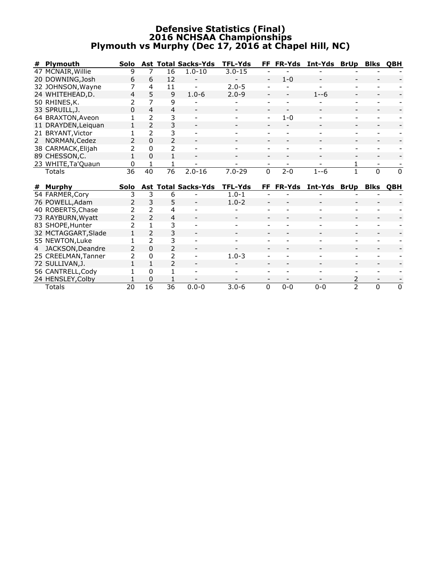### **Defensive Statistics (Final) 2016 NCHSAA Championships Plymouth vs Murphy (Dec 17, 2016 at Chapel Hill, NC)**

| # | <b>Plymouth</b>     | Solo                     |                          |                          | <b>Ast Total Sacks-Yds</b> | <b>TFL-Yds</b> | FF       | <b>FR-Yds</b> | Int-Yds      | <b>BrUp</b>         | <b>Blks</b>    | QBH      |
|---|---------------------|--------------------------|--------------------------|--------------------------|----------------------------|----------------|----------|---------------|--------------|---------------------|----------------|----------|
|   | 47 MCNAIR, Willie   | 9                        | 7                        | 16                       | $1.0 - 10$                 | $3.0 - 15$     |          |               |              |                     |                |          |
|   | 20 DOWNING, Josh    | 6                        | 6                        | 12                       |                            |                |          | $1 - 0$       |              |                     |                |          |
|   | 32 JOHNSON, Wayne   | 7                        | 4                        | 11                       |                            | $2.0 - 5$      |          |               |              |                     |                |          |
|   | 24 WHITEHEAD, D.    | $\overline{4}$           | 5                        | 9                        | $1.0 - 6$                  | $2.0 - 9$      |          |               | $1 - -6$     |                     |                |          |
|   | 50 RHINES, K.       | 2                        | 7                        | 9                        |                            |                |          |               |              |                     |                |          |
|   | 33 SPRUILL, J.      | 0                        | 4                        | 4                        |                            |                |          |               |              |                     |                |          |
|   | 64 BRAXTON, Aveon   |                          | $\overline{\phantom{a}}$ | 3                        |                            |                |          | $1 - 0$       |              |                     |                |          |
|   | 11 DRAYDEN, Leiquan | 1                        | $\overline{2}$           | 3                        |                            |                |          |               |              |                     |                |          |
|   | 21 BRYANT, Victor   |                          | $\overline{\phantom{a}}$ | 3                        |                            |                |          |               |              |                     |                |          |
| 2 | NORMAN, Cedez       | $\overline{\phantom{a}}$ | $\Omega$                 | $\overline{\phantom{a}}$ | $\overline{\phantom{a}}$   |                |          |               |              |                     |                |          |
|   | 38 CARMACK, Elijah  | 2                        | $\Omega$                 | 2                        |                            |                |          |               |              |                     |                |          |
|   | 89 CHESSON, C.      | $\mathbf{1}$             | O                        | 1                        |                            |                |          |               |              |                     |                |          |
|   | 23 WHITE, Ta' Quaun | 0                        |                          |                          |                            |                |          |               |              |                     |                |          |
|   | <b>Totals</b>       | $\overline{36}$          | $\overline{40}$          | $\overline{76}$          | $2.0 - 16$                 | $7.0 - 29$     | $\Omega$ | $2 - 0$       | $1 - -6$     |                     | $\overline{0}$ | $\Omega$ |
|   |                     |                          |                          |                          |                            |                |          |               |              |                     |                |          |
|   |                     |                          |                          |                          |                            |                |          |               |              |                     |                |          |
| # | <b>Murphy</b>       | <b>Solo</b>              |                          |                          | <b>Ast Total Sacks-Yds</b> | <b>TFL-Yds</b> |          | FF FR-Yds     | Int-Yds BrUp |                     | <b>Blks</b>    | QBH      |
|   | 54 FARMER, Cory     | 3                        | 3                        | 6                        |                            | $1.0 - 1$      |          |               |              |                     |                |          |
|   | 76 POWELL, Adam     | 2                        | 3                        | 5                        |                            | $1.0 - 2$      |          |               |              |                     |                |          |
|   | 40 ROBERTS, Chase   | 2                        | $\overline{2}$           | 4                        |                            |                |          |               |              |                     |                |          |
|   | 73 RAYBURN, Wyatt   | $\overline{2}$           | $\overline{2}$           | 4                        |                            |                |          |               |              |                     |                |          |
|   | 83 SHOPE, Hunter    | 2                        |                          | 3                        |                            |                |          |               |              |                     |                |          |
|   | 32 MCTAGGART, Slade |                          | $\overline{2}$           | 3                        |                            |                |          |               |              |                     |                |          |
|   | 55 NEWTON, Luke     | 1                        | $\mathcal{P}$            | 3                        |                            |                |          |               |              |                     |                |          |
| 4 | JACKSON, Deandre    | 2                        | $\Omega$                 | $\overline{2}$           |                            |                |          |               |              |                     |                |          |
|   | 25 CREELMAN, Tanner | $\mathcal{P}$            | 0                        | 2                        |                            | $1.0 - 3$      |          |               |              |                     |                |          |
|   | 72 SULLIVAN, J.     | 1                        | $\mathbf{1}$             | $\overline{\phantom{a}}$ |                            |                |          |               |              |                     |                |          |
|   | 56 CANTRELL, Cody   |                          | 0                        |                          |                            |                |          |               |              |                     |                |          |
|   | 24 HENSLEY, Colby   | 20                       | 0<br>$\overline{16}$     | $\overline{36}$          |                            | $3.0 - 6$      |          |               |              | 2<br>$\overline{2}$ |                |          |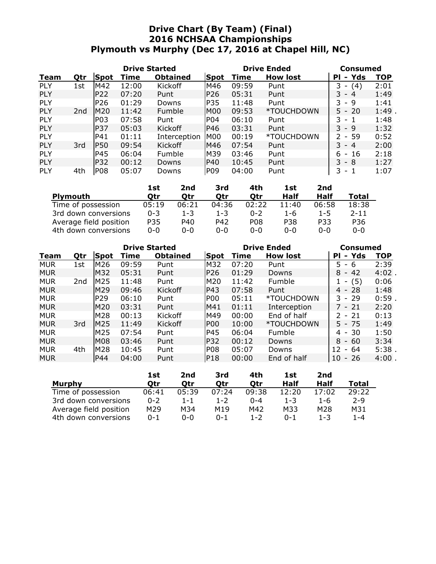### **Drive Chart (By Team) (Final) 2016 NCHSAA Championships Plymouth vs Murphy (Dec 17, 2016 at Chapel Hill, NC)**

| <b>Drive Started</b> |                 |                 |       |                 |             |       | <b>Drive Ended</b> | Consumed              |      |  |
|----------------------|-----------------|-----------------|-------|-----------------|-------------|-------|--------------------|-----------------------|------|--|
| Team                 | Qtr             | Spot            | Time  | <b>Obtained</b> | <b>Spot</b> | Time  | <b>How lost</b>    | Yds<br>PI<br>-        | TOP  |  |
| <b>PLY</b>           | 1st             | M42             | 12:00 | <b>Kickoff</b>  | M46         | 09:59 | Punt               | 3<br>(4)              | 2:01 |  |
| <b>PLY</b>           |                 | <b>P22</b>      | 07:20 | Punt            | P26         | 05:31 | Punt               | $3 - 4$               | 1:49 |  |
| <b>PLY</b>           |                 | P <sub>26</sub> | 01:29 | Downs           | P35         | 11:48 | Punt               | 3 - 9                 | 1:41 |  |
| <b>PLY</b>           | 2 <sub>nd</sub> | M20             | 11:42 | <b>Fumble</b>   | <b>M00</b>  | 09:53 | *TOUCHDOWN         | $5 - 20$              | 1:49 |  |
| <b>PLY</b>           |                 | P03             | 07:58 | Punt            | P04         | 06:10 | Punt               | 3.<br>$\sim$          | 1:48 |  |
| <b>PLY</b>           |                 | IP37            | 05:03 | <b>Kickoff</b>  | IP46        | 03:31 | Punt               | $3 - 9$               | 1:32 |  |
| <b>PLY</b>           |                 | P41             | 01:11 | Interception    | <b>M00</b>  | 00:19 | *TOUCHDOWN         | - 59<br>$\mathcal{P}$ | 0:52 |  |
| <b>PLY</b>           | 3rd             | IP50            | 09:54 | <b>Kickoff</b>  | M46         | 07:54 | Punt               | $3 - 4$               | 2:00 |  |
| <b>PLY</b>           |                 | P45             | 06:04 | <b>Fumble</b>   | M39         | 03:46 | Punt               | - 16<br>6.            | 2:18 |  |
| <b>PLY</b>           |                 | <b>P32</b>      | 00:12 | Downs           | <b>P40</b>  | 10:45 | Punt               | $3 - 8$               | 1:27 |  |
| PLY                  | 4th             | PO8             | 05:07 | Downs           | <b>P09</b>  | 04:00 | Punt               | 3<br>- 1              | 1:07 |  |

|                        | 1st     | 2nd     | 3rd     | 4th     | 1st        | 2nd         |          |
|------------------------|---------|---------|---------|---------|------------|-------------|----------|
| <b>Plymouth</b>        | Otr     | Otr     | Otr     | Otr     | Half       | <b>Half</b> | Total    |
| Time of possession     | 05:19   | 06:21   | 04:36   | 02:22   | 11:40      | 06:58       | 18:38    |
| 3rd down conversions   | $0 - 3$ | $1 - 3$ | $1 - 3$ | $0 - 2$ | $1 - 6$    | $1 - 5$     | $2 - 11$ |
| Average field position | P35     | P40     | P42     | P08     | <b>P38</b> | P33         | P36      |
| 4th down conversions   | $0 - 0$ | ი-ი     | ი-ი     | 0-0     | $0 - 0$    | $0 - 0$     | $0 - 0$  |

| <b>Drive Started</b> |     |                 |       |                 |            | <b>Drive Ended</b> | <b>Consumed</b> |                                      |            |
|----------------------|-----|-----------------|-------|-----------------|------------|--------------------|-----------------|--------------------------------------|------------|
| Team                 | Qtr | Spot            | Time  | <b>Obtained</b> | Spot       | Time               | <b>How lost</b> | - Yds<br>PI                          | <b>TOP</b> |
| <b>MUR</b>           | 1st | M26             | 09:59 | Punt            | M32        | 07:20              | Punt            | 5.<br>- 6                            | 2:39       |
| <b>MUR</b>           |     | M32             | 05:31 | Punt            | P26        | 01:29              | Downs           | 8<br>42<br>$\overline{\phantom{a}}$  | $4:02$ .   |
| <b>MUR</b>           | 2nd | M25             | 11:48 | Punt            | M20        | 11:42              | Fumble          | $- (5)$                              | 0:06       |
| <b>MUR</b>           |     | IM29            | 09:46 | Kickoff         | IP43       | 07:58              | Punt            | $4 - 28$                             | 1:48       |
| <b>MUR</b>           |     | P <sub>29</sub> | 06:10 | Punt            | <b>P00</b> | 05:11              | *TOUCHDOWN      | $-29$<br>3.                          | 0:59       |
| <b>MUR</b>           |     | IM20            | 03:31 | Punt            | M41        | 01:11              | Interception    | 7 - 21                               | 2:20       |
| <b>MUR</b>           |     | M28             | 00:13 | Kickoff         | M49        | 00:00              | End of half     | $2 - 21$                             | 0:13       |
| <b>MUR</b>           | 3rd | M25             | 11:49 | <b>Kickoff</b>  | <b>P00</b> | 10:00              | *TOUCHDOWN      | $5 - 75$                             | 1:49       |
| <b>MUR</b>           |     | M <sub>25</sub> | 07:54 | Punt            | lP45       | 06:04              | Fumble          | -30<br>4 -                           | 1:50       |
| <b>MUR</b>           |     | M08             | 03:46 | Punt            | P32        | 00:12              | Downs           | 8<br>- 60                            | 3:34       |
| <b>MUR</b>           | 4th | M28             | 10:45 | Punt            | <b>P08</b> | 05:07              | Downs           | 12<br>64<br>$\overline{\phantom{a}}$ | 5:38       |
| <b>MUR</b>           |     | P44             | 04:00 | Punt            | P18        | 00:00              | End of half     | 10<br>$-26$                          | $4:00$ .   |

|                        | 1st     | 2nd     | 3rd     | 4th     | 1st     | 2nd     |         |
|------------------------|---------|---------|---------|---------|---------|---------|---------|
| <b>Murphy</b>          | Otr     | Otr     | Otr     | Otr     | Half    | Half    | Total   |
| Time of possession     | 06:41   | 05:39   | 07:24   | 09:38   | 12:20   | 17:02   | 29:22   |
| 3rd down conversions   | $0 - 2$ | $1 - 1$ | $1 - 2$ | $0 - 4$ | $1 - 3$ | 1-6     | $2 - 9$ |
| Average field position | M29     | M34     | M19     | M42     | M33     | M28     | M31     |
| 4th down conversions   | $0 - 1$ | 0-0     | $0 - 1$ | $1 - 2$ | $0 - 1$ | $1 - 3$ | $1 - 4$ |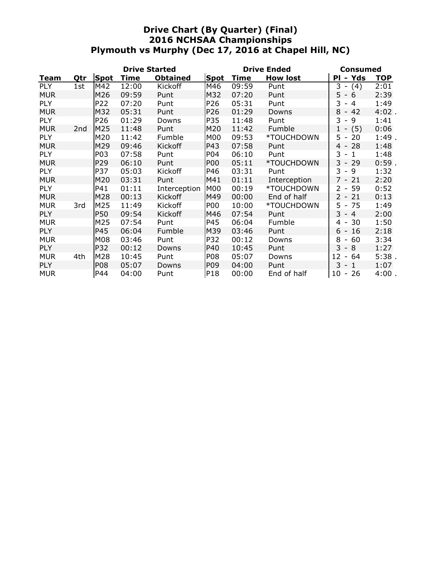### **Drive Chart (By Quarter) (Final) 2016 NCHSAA Championships Plymouth vs Murphy (Dec 17, 2016 at Chapel Hill, NC)**

| <b>Drive Started</b> |                 |                 |       |                 |                  |             | <b>Drive Ended</b> | <b>Consumed</b>                      |            |  |
|----------------------|-----------------|-----------------|-------|-----------------|------------------|-------------|--------------------|--------------------------------------|------------|--|
| Team                 | Qtr             | Spot            | Time  | <b>Obtained</b> | Spot             | <b>Time</b> | <b>How lost</b>    | Yds<br>Ρl<br>۰                       | <b>TOP</b> |  |
| <b>PLY</b>           | 1st             | M42             | 12:00 | Kickoff         | M46              | 09:59       | Punt               | 3<br>(4)<br>$\overline{\phantom{a}}$ | 2:01       |  |
| <b>MUR</b>           |                 | M26             | 09:59 | Punt            | M32              | 07:20       | Punt               | 5 -<br>6                             | 2:39       |  |
| <b>PLY</b>           |                 | P22             | 07:20 | Punt            | P <sub>26</sub>  | 05:31       | Punt               | 3<br>4<br>$\sim$                     | 1:49       |  |
| <b>MUR</b>           |                 | M32             | 05:31 | Punt            | P <sub>26</sub>  | 01:29       | Downs              | 8<br>42<br>$\overline{\phantom{a}}$  | $4:02$ .   |  |
| <b>PLY</b>           |                 | P26             | 01:29 | Downs           | P35              | 11:48       | Punt               | 3<br>9<br>$\overline{\phantom{a}}$   | 1:41       |  |
| <b>MUR</b>           | 2 <sub>nd</sub> | M25             | 11:48 | Punt            | M20              | 11:42       | Fumble             | $1 -$<br>(5)                         | 0:06       |  |
| PLY                  |                 | M20             | 11:42 | Fumble          | M00              | 09:53       | *TOUCHDOWN         | $5 -$<br>20                          | 1:49.      |  |
| <b>MUR</b>           |                 | M29             | 09:46 | <b>Kickoff</b>  | P43              | 07:58       | Punt               | -28<br>$4 -$                         | 1:48       |  |
| PLY                  |                 | P03             | 07:58 | Punt            | P04              | 06:10       | Punt               | $3 - 1$                              | 1:48       |  |
| <b>MUR</b>           |                 | P <sub>29</sub> | 06:10 | Punt            | <b>P00</b>       | 05:11       | *TOUCHDOWN         | 3<br>29<br>$\sim$                    | $0:59$ .   |  |
| PLY                  |                 | P37             | 05:03 | Kickoff         | P46              | 03:31       | Punt               | $3 -$<br>9                           | 1:32       |  |
| <b>MUR</b>           |                 | M20             | 03:31 | Punt            | M41              | 01:11       | Interception       | $7 -$<br>21                          | 2:20       |  |
| PLY                  |                 | P41             | 01:11 | Interception    | <b>M00</b>       | 00:19       | *TOUCHDOWN         | $2 - 59$                             | 0:52       |  |
| <b>MUR</b>           |                 | M28             | 00:13 | Kickoff         | M49              | 00:00       | End of half        | $2 -$<br>21                          | 0:13       |  |
| <b>MUR</b>           | 3rd             | M25             | 11:49 | Kickoff         | <b>P00</b>       | 10:00       | *TOUCHDOWN         | $5 - 75$                             | 1:49       |  |
| <b>PLY</b>           |                 | <b>P50</b>      | 09:54 | Kickoff         | M46              | 07:54       | Punt               | $3 - 4$                              | 2:00       |  |
| <b>MUR</b>           |                 | M25             | 07:54 | Punt            | P45              | 06:04       | Fumble             | 30<br>4 -                            | 1:50       |  |
| <b>PLY</b>           |                 | P45             | 06:04 | Fumble          | M39              | 03:46       | Punt               | 16<br>$6 -$                          | 2:18       |  |
| <b>MUR</b>           |                 | M08             | 03:46 | Punt            | P32              | 00:12       | Downs              | 8<br>60<br>$\overline{\phantom{a}}$  | 3:34       |  |
| <b>PLY</b>           |                 | P32             | 00:12 | Downs           | P40              | 10:45       | Punt               | $3 - 8$                              | 1:27       |  |
| <b>MUR</b>           | 4th             | M28             | 10:45 | Punt            | P08              | 05:07       | Downs              | $12 -$<br>64                         | 5:38.      |  |
| <b>PLY</b>           |                 | P08             | 05:07 | Downs           | P <sub>0</sub> 9 | 04:00       | Punt               | 3<br>$\mathbf{1}$<br>$\sim$          | 1:07       |  |
| <b>MUR</b>           |                 | P44             | 04:00 | Punt            | P18              | 00:00       | End of half        | 10 - 26                              | $4:00$ .   |  |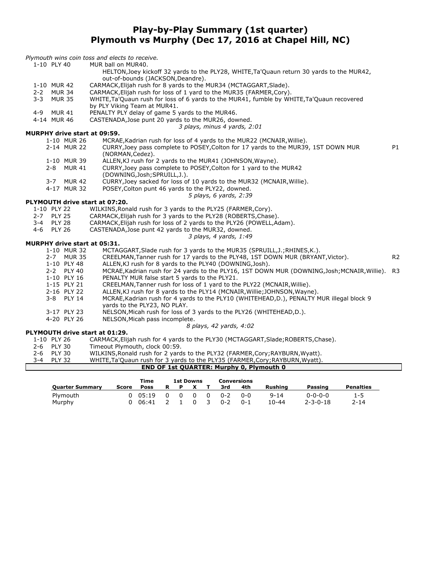### **Play-by-Play Summary (1st quarter) Plymouth vs Murphy (Dec 17, 2016 at Chapel Hill, NC)**

|         | 1-10 PLY 40   |               | MUR ball on MUR40.                                                                                                             |                |
|---------|---------------|---------------|--------------------------------------------------------------------------------------------------------------------------------|----------------|
|         |               |               | HELTON, Joey kickoff 32 yards to the PLY28, WHITE, Ta'Quaun return 30 yards to the MUR42,<br>out-of-bounds (JACKSON, Deandre). |                |
|         | 1-10 MUR 42   |               | CARMACK, Elijah rush for 8 yards to the MUR34 (MCTAGGART, Slade).                                                              |                |
|         | 2-2 MUR 34    |               | CARMACK, Elijah rush for loss of 1 yard to the MUR35 (FARMER, Cory).                                                           |                |
| $3 - 3$ |               | <b>MUR 35</b> | WHITE, Ta'Quaun rush for loss of 6 yards to the MUR41, fumble by WHITE, Ta'Quaun recovered                                     |                |
|         |               |               | by PLY Viking Team at MUR41.                                                                                                   |                |
|         | 4-9 MUR 41    |               | PENALTY PLY delay of game 5 yards to the MUR46.                                                                                |                |
|         | 4-14 MUR 46   |               | CASTENADA, Jose punt 20 yards to the MUR26, downed.                                                                            |                |
|         |               |               | 3 plays, minus 4 yards, 2:01                                                                                                   |                |
|         |               |               |                                                                                                                                |                |
|         |               |               | <b>MURPHY drive start at 09:59.</b>                                                                                            |                |
|         |               | 1-10 MUR 26   | MCRAE, Kadrian rush for loss of 4 yards to the MUR22 (MCNAIR, Willie).                                                         |                |
|         |               | 2-14 MUR 22   | CURRY, Joey pass complete to POSEY, Colton for 17 yards to the MUR39, 1ST DOWN MUR<br>(NORMAN, Cedez).                         | P1             |
|         |               | 1-10 MUR 39   | ALLEN, KJ rush for 2 yards to the MUR41 (JOHNSON, Wayne).                                                                      |                |
|         | $2 - 8$       | <b>MUR 41</b> | CURRY, Joey pass complete to POSEY, Colton for 1 yard to the MUR42                                                             |                |
|         |               |               | (DOWNING, Josh; SPRUILL, J.).                                                                                                  |                |
|         | $3 - 7$       | <b>MUR 42</b> | CURRY, Joey sacked for loss of 10 yards to the MUR32 (MCNAIR, Willie).                                                         |                |
|         |               | 4-17 MUR 32   | POSEY, Colton punt 46 yards to the PLY22, downed.                                                                              |                |
|         |               |               | 5 plays, 6 yards, 2:39                                                                                                         |                |
|         |               |               | PLYMOUTH drive start at 07:20.                                                                                                 |                |
|         | 1-10 PLY 22   |               | WILKINS, Ronald rush for 3 yards to the PLY25 (FARMER, Cory).                                                                  |                |
|         | 2-7 PLY 25    |               | CARMACK, Elijah rush for 3 yards to the PLY28 (ROBERTS, Chase).                                                                |                |
|         | 3-4 PLY 28    |               | CARMACK, Elijah rush for loss of 2 yards to the PLY26 (POWELL, Adam).                                                          |                |
| 4-6     | <b>PLY 26</b> |               | CASTENADA, Jose punt 42 yards to the MUR32, downed.                                                                            |                |
|         |               |               | 3 plays, 4 yards, 1:49                                                                                                         |                |
|         |               |               | <b>MURPHY drive start at 05:31.</b>                                                                                            |                |
|         |               | 1-10 MUR 32   | MCTAGGART, Slade rush for 3 yards to the MUR35 (SPRUILL, J.; RHINES, K.).                                                      |                |
|         |               | 2-7 MUR 35    | CREELMAN, Tanner rush for 17 yards to the PLY48, 1ST DOWN MUR (BRYANT, Victor).                                                | R <sub>2</sub> |
|         |               | 1-10 PLY 48   | ALLEN, KJ rush for 8 yards to the PLY40 (DOWNING, Josh).                                                                       |                |
|         |               | 2-2 PLY 40    | MCRAE, Kadrian rush for 24 yards to the PLY16, 1ST DOWN MUR (DOWNING, Josh; MCNAIR, Willie).                                   | R <sub>3</sub> |
|         |               | 1-10 PLY 16   | PENALTY MUR false start 5 yards to the PLY21.                                                                                  |                |
|         |               | 1-15 PLY 21   | CREELMAN, Tanner rush for loss of 1 yard to the PLY22 (MCNAIR, Willie).                                                        |                |
|         |               | 2-16 PLY 22   | ALLEN, KJ rush for 8 yards to the PLY14 (MCNAIR, Willie; JOHNSON, Wayne).                                                      |                |
|         |               | 3-8 PLY 14    | MCRAE, Kadrian rush for 4 yards to the PLY10 (WHITEHEAD,D.), PENALTY MUR illegal block 9                                       |                |
|         |               |               | yards to the PLY23, NO PLAY.                                                                                                   |                |
|         |               | 3-17 PLY 23   | NELSON, Micah rush for loss of 3 yards to the PLY26 (WHITEHEAD, D.).                                                           |                |
|         |               | 4-20 PLY 26   | NELSON, Micah pass incomplete.                                                                                                 |                |
|         |               |               | 8 plays, 42 yards, 4:02                                                                                                        |                |
|         |               |               | PLYMOUTH drive start at 01:29.                                                                                                 |                |
|         | 1-10 PLY 26   |               | CARMACK, Elijah rush for 4 yards to the PLY30 (MCTAGGART, Slade; ROBERTS, Chase).                                              |                |

2-6 PLY 30 Timeout Plymouth, clock 00:59.<br>2-6 PLY 30 WILKINS, Ronald rush for 2 yards

*Plymouth wins coin toss and elects to receive.*

- 2-6 PLY 30 WILKINS,Ronald rush for 2 yards to the PLY32 (FARMER,Cory;RAYBURN,Wyatt).
- 3-4 PLY 32 WHITE,Ta'Quaun rush for 3 yards to the PLY35 (FARMER,Cory;RAYBURN,Wyatt).

| <b>END OF 1st QUARTER: Murphy 0, Plymouth 0</b> |  |
|-------------------------------------------------|--|

|                        |       | Time  |   | <b>1st Downs</b> |          |   | Conversions |         |                |                  |                  |
|------------------------|-------|-------|---|------------------|----------|---|-------------|---------|----------------|------------------|------------------|
| <b>Quarter Summary</b> | Score | Poss  | R |                  |          |   | 3rd         | 4th     | <b>Rushing</b> | Passing          | <b>Penalties</b> |
| Plymouth               |       | 05:19 |   | <sup>n</sup>     | 0        | 0 | $0 - 2$     | ი-ი     | $9 - 14$       | $0 - 0 - 0 - 0$  | 1-5              |
| Murphy                 |       | 06:41 |   |                  | $\Omega$ | 3 | $0 - 2$     | $0 - 1$ | $10 - 44$      | $2 - 3 - 0 - 18$ | $2 - 14$         |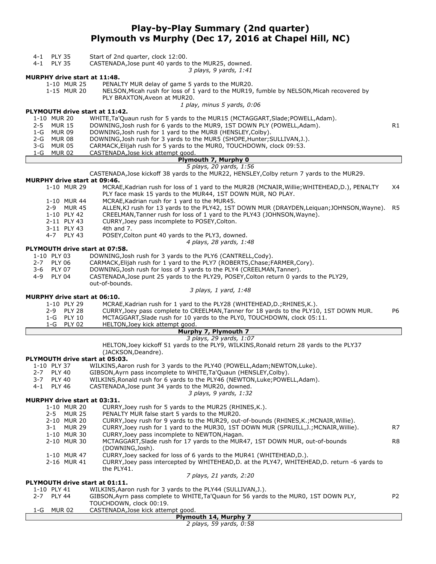### **Play-by-Play Summary (2nd quarter) Plymouth vs Murphy (Dec 17, 2016 at Chapel Hill, NC)**

- 4-1 PLY 35 Start of 2nd quarter, clock 12:00.
- 4-1 PLY 35 CASTENADA,Jose punt 40 yards to the MUR25, downed.

*3 plays, 9 yards, 1:41*

#### **MURPHY drive start at 11:48.**

1-10 MUR 25 PENALTY MUR delay of game 5 yards to the MUR20.<br>1-15 MUR 20 NELSON.Micah rush for loss of 1 yard to the MUR19.

NELSON, Micah rush for loss of 1 yard to the MUR19, fumble by NELSON, Micah recovered by PLY BRAXTON,Aveon at MUR20.

*1 play, minus 5 yards, 0:06*

#### **PLYMOUTH drive start at 11:42.**

- 1-10 MUR 20 WHITE,Ta'Quaun rush for 5 yards to the MUR15 (MCTAGGART,Slade;POWELL,Adam).
- 2-5 MUR 15 DOWNING, Josh rush for 6 yards to the MUR9, 1ST DOWN PLY (POWELL, Adam).  $R1$
- 1-G MUR 09 DOWNING,Josh rush for 1 yard to the MUR8 (HENSLEY,Colby).
- 2-G MUR 08 DOWNING,Josh rush for 3 yards to the MUR5 (SHOPE,Hunter;SULLIVAN,J.).
- 3-G MUR 05 CARMACK, Elijah rush for 5 yards to the MUR0, TOUCHDOWN, clock 09:53.<br>1-G MUR 02 CASTENADA, Jose kick attempt good. 1-G MUR 02 CASTENADA,Jose kick attempt good.

### **Plymouth 7, Murphy 0**

### *5 plays, 20 yards, 1:56*

CASTENADA,Jose kickoff 38 yards to the MUR22, HENSLEY,Colby return 7 yards to the MUR29.

#### **MURPHY drive start at 09:46.**

- 1-10 MUR 29 MCRAE,Kadrian rush for loss of 1 yard to the MUR28 (MCNAIR,Willie;WHITEHEAD,D.), PENALTY X4 PLY face mask 15 yards to the MUR44, 1ST DOWN MUR, NO PLAY.
- 1-10 MUR 44 MCRAE,Kadrian rush for 1 yard to the MUR45.
- 2-9 MUR 45 ALLEN, KJ rush for 13 yards to the PLY42, 1ST DOWN MUR (DRAYDEN, Leiquan; JOHNSON, Wayne). R5<br>1-10 PLY 42 CREELMAN. Tanner rush for loss of 1 yard to the PLY43 (JOHNSON. Wayne).
- CREELMAN,Tanner rush for loss of 1 yard to the PLY43 (JOHNSON, Wayne).
- 2-11 PLY 43 CURRY,Joey pass incomplete to POSEY,Colton.
- 3-11 PLY 43 4th and 7.<br>4-7 PLY 43 POSEY, Col
	- POSEY, Colton punt 40 yards to the PLY3, downed.
		- *4 plays, 28 yards, 1:48*

#### **PLYMOUTH drive start at 07:58.**

- 1-10 PLY 03 DOWNING,Josh rush for 3 yards to the PLY6 (CANTRELL,Cody).
- 2-7 PLY 06 CARMACK, Elijah rush for 1 yard to the PLY7 (ROBERTS, Chase; FARMER, Cory).<br>3-6 PLY 07 DOWNING, Josh rush for loss of 3 yards to the PLY4 (CREELMAN, Tanner).
- 3-6 PLY 07 DOWNING,Josh rush for loss of 3 yards to the PLY4 (CREELMAN,Tanner).
- 4-9 PLY 04 CASTENADA,Jose punt 25 yards to the PLY29, POSEY,Colton return 0 yards to the PLY29, out-of-bounds.

#### *3 plays, 1 yard, 1:48*

#### **MURPHY drive start at 06:10.**

| 1-10 PLY 29 | MCRAE, Kadrian rush for 1 yard to the PLY28 (WHITEHEAD, D.; RHINES, K.).               |    |
|-------------|----------------------------------------------------------------------------------------|----|
| 2-9 PLY 28  | CURRY, Joey pass complete to CREELMAN, Tanner for 18 yards to the PLY10, 1ST DOWN MUR. | P6 |
| 1-G PLY 10  | MCTAGGART, Slade rush for 10 yards to the PLY0, TOUCHDOWN, clock 05:11.                |    |
| 1-G PLY 02  | HELTON, Joey kick attempt good.                                                        |    |

#### **Murphy 7, Plymouth 7** *3 plays, 29 yards, 1:07*

HELTON,Joey kickoff 51 yards to the PLY9, WILKINS,Ronald return 28 yards to the PLY37

(JACKSON,Deandre).

#### **PLYMOUTH drive start at 05:03.**

- 1-10 PLY 37 WILKINS, Aaron rush for 3 yards to the PLY40 (POWELL, Adam; NEWTON, Luke).<br>2-7 PLY 40 GIBSON. Ayrn pass incomplete to WHITE. Ta' Ouaun (HENSLEY. Colby). 2-7 PLY 40 GIBSON, Ayrn pass incomplete to WHITE, Ta' Quaun (HENSLEY, Colby).<br>2-7 PLY 40 WILKINS, Ronald rush for 6 yards to the PLY46 (NEWTON, Luke; POWE 3-7 PLY 40 WILKINS, Ronald rush for 6 yards to the PLY46 (NEWTON, Luke; POWELL, Adam).<br>4-1 PLY 46 CASTENADA, Jose punt 34 yards to the MUR20, downed. 4-1 PLY 46 CASTENADA,Jose punt 34 yards to the MUR20, downed. *3 plays, 9 yards, 1:32* **MURPHY drive start at 03:31.**<br>1-10 MUR 20 CURRY CURRY,Joey rush for 5 yards to the MUR25 (RHINES, K.).
	- 2-5 MUR 25 PENALTY MUR false start 5 yards to the MUR20.
		- 2-10 MUR 20 CURRY,Joey rush for 9 yards to the MUR29, out-of-bounds (RHINES,K.;MCNAIR,Willie).
	- 3-1 MUR 29 CURRY,Joey rush for 1 yard to the MUR30, 1ST DOWN MUR (SPRUILL,J.;MCNAIR,Willie). R7 1-10 MUR 30 CURRY,Joey pass incomplete to NEWTON,Hagan.
		- 2-10 MUR 30 MCTAGGART, Slade rush for 17 yards to the MUR47, 1ST DOWN MUR, out-of-bounds R8 (DOWNING,Josh).
		- 1-10 MUR 47 CURRY,Joey sacked for loss of 6 yards to the MUR41 (WHITEHEAD,D.).
	- 2-16 MUR 41 CURRY,Joey pass intercepted by WHITEHEAD,D. at the PLY47, WHITEHEAD,D. return -6 yards to the PLY41.

#### *7 plays, 21 yards, 2:20*

#### **PLYMOUTH drive start at 01:11.**

| 1-10 PLY 41 | WILKINS, Aaron rush for 3 yards to the PLY44 (SULLIVAN, J.). |
|-------------|--------------------------------------------------------------|
|-------------|--------------------------------------------------------------|

- 2-7 PLY 44 GIBSON,Ayrn pass complete to WHITE,Ta'Quaun for 56 yards to the MUR0, 1ST DOWN PLY, P2 TOUCHDOWN, clock 00:19. 1-G MUR 02 CASTENADA,Jose kick attempt good.
- 

| Plymouth 14, Murphy 7   |  |  |
|-------------------------|--|--|
| 2 plays, 59 yards, 0:58 |  |  |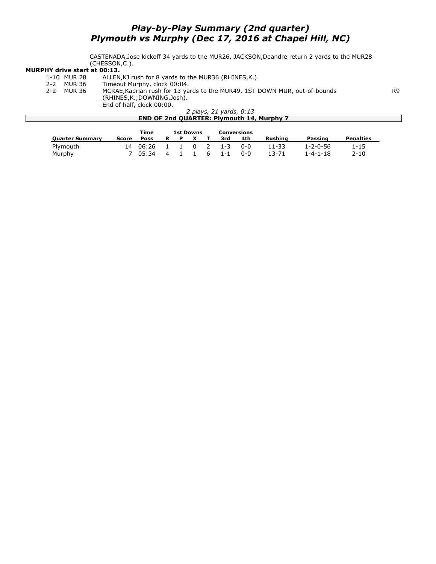### *Play-by-Play Summary (2nd quarter) Plymouth vs Murphy (Dec 17, 2016 at Chapel Hill, NC)*

CASTENADA,Jose kickoff 34 yards to the MUR26, JACKSON,Deandre return 2 yards to the MUR28 (CHESSON,C.).

# **MURPHY drive start at 00:13.**<br>1-10 MUR 28 ALLEN<br>2-2 MUR 36 Timeor

- ALLEN, KJ rush for 8 yards to the MUR36 (RHINES, K.).
- 
- 2-2 MUR 36 Timeout Murphy, clock 00:04.<br>2-2 MUR 36 MCRAE, Kadrian rush for 13 ya MCRAE,Kadrian rush for 13 yards to the MUR49, 1ST DOWN MUR, out-of-bounds R9 (RHINES,K.;DOWNING,Josh). End of half, clock 00:00.

*2 plays, 21 yards, 0:13* **END OF 2nd QUARTER: Plymouth 14, Murphy 7 Time 1st Downs Conversions**

|                        |       | Time     | <b>1st Downs</b> |  |              |  |                       | <b>Conversions</b> |         |          |                  |
|------------------------|-------|----------|------------------|--|--------------|--|-----------------------|--------------------|---------|----------|------------------|
| <b>Quarter Summary</b> | Score | Poss     | R —              |  | $\mathbf{x}$ |  | 3rd                   | 4th                | Rushina | Passing  | <b>Penalties</b> |
| Plymouth               |       | 14 06:26 | $1 \quad 1$      |  |              |  | $0 \quad 2 \quad 1-3$ | റ-റ                | 11-33   | 1-2-0-56 | 1-15             |
| Murphy                 |       | 05.34    | 4                |  |              |  | 1 6 1-1               | ი-ი                | 13-71   | 1-4-1-18 | $2 - 10$         |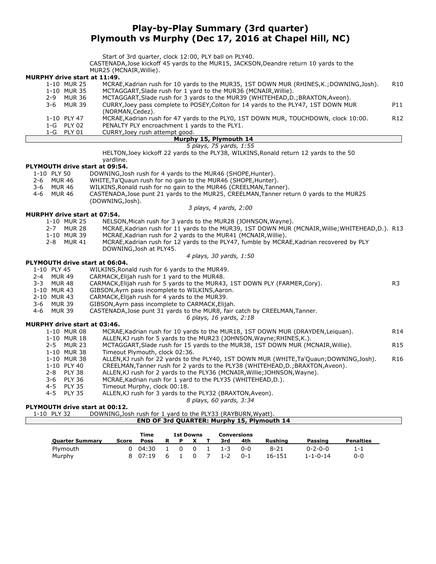### **Play-by-Play Summary (3rd quarter) Plymouth vs Murphy (Dec 17, 2016 at Chapel Hill, NC)**

Start of 3rd quarter, clock 12:00, PLY ball on PLY40.

CASTENADA,Jose kickoff 45 yards to the MUR15, JACKSON,Deandre return 10 yards to the MUR25 (MCNAIR,Willie).

|                                     |              | $101123$ (11011) $11177$ $1117$                                                                        |                 |
|-------------------------------------|--------------|--------------------------------------------------------------------------------------------------------|-----------------|
| <b>MURPHY drive start at 11:49.</b> |              |                                                                                                        |                 |
|                                     | 1-10 MUR 25  | MCRAE, Kadrian rush for 10 yards to the MUR35, 1ST DOWN MUR (RHINES, K.; DOWNING, Josh).               | R <sub>10</sub> |
|                                     | 1-10 MUR 35  | MCTAGGART, Slade rush for 1 yard to the MUR36 (MCNAIR, Willie).                                        |                 |
| $2-9$                               | MUR 36       | MCTAGGART, Slade rush for 3 yards to the MUR39 (WHITEHEAD, D.; BRAXTON, Aveon).                        |                 |
|                                     | 3-6 MUR 39   | CURRY, Joey pass complete to POSEY, Colton for 14 yards to the PLY47, 1ST DOWN MUR<br>(NORMAN, Cedez). | P11             |
|                                     | 1-10 PLY 47  | MCRAE, Kadrian rush for 47 yards to the PLY0, 1ST DOWN MUR, TOUCHDOWN, clock 10:00.                    | R <sub>12</sub> |
|                                     | $1-G$ PLY 02 | PENALTY PLY encroachment 1 yards to the PLY1.                                                          |                 |
|                                     | 1-G PLY 01   | CURRY, Joey rush attempt good.                                                                         |                 |
|                                     |              | Murphy 15, Plymouth 14                                                                                 |                 |

### *5 plays, 75 yards, 1:55*

HELTON,Joey kickoff 22 yards to the PLY38, WILKINS,Ronald return 12 yards to the 50 yardline.

## **PLYMOUTH drive start at 09:54.**

- PLY 50 DOWNING,Josh rush for 4 yards to the MUR46 (SHOPE, Hunter).<br>MUR 46 WHITE, Ta' Quaun rush for no gain to the MUR46 (SHOPE, Hunter)
- 2-6 MUR 46 WHITE,Ta'Quaun rush for no gain to the MUR46 (SHOPE,Hunter).
	-
- 3-6 MUR 46 WILKINS, Ronald rush for no gain to the MUR46 (CREELMAN, Tanner).<br>4-6 MUR 46 CASTENADA. Jose punt 21 vards to the MUR25. CREELMAN. Tanner ret 4-6 MUR 46 CASTENADA,Jose punt 21 yards to the MUR25, CREELMAN,Tanner return 0 yards to the MUR25 (DOWNING,Josh).

#### **MURPHY drive start at 07:54.**

- 1-10 MUR 25 NELSON,Micah rush for 3 yards to the MUR28 (JOHNSON,Wayne).
- 2-7 MUR 28 MCRAE, Kadrian rush for 11 yards to the MUR39, 1ST DOWN MUR (MCNAIR, Willie; WHITEHEAD, D.). R13<br>1-10 MUR 39 MCRAE, Kadrian rush for 2 yards to the MUR41 (MCNAIR, Willie).

*3 plays, 4 yards, 2:00*

- 1-10 MUR 39 MCRAE,Kadrian rush for 2 yards to the MUR41 (MCNAIR,Willie). MCRAE, Kadrian rush for 12 yards to the PLY47, fumble by MCRAE, Kadrian recovered by PLY DOWNING,Josh at PLY45.
	- *4 plays, 30 yards, 1:50*

#### **PLYMOUTH drive start at 06:04.**

| 1-10 PLY 45 | WILKINS, Ronald rush for 6 yards to the MUR49. |
|-------------|------------------------------------------------|
|-------------|------------------------------------------------|

- 2-4 MUR 49 CARMACK,Elijah rush for 1 yard to the MUR48.
- 3-3 MUR 48 CARMACK,Elijah rush for 5 yards to the MUR43, 1ST DOWN PLY (FARMER,Cory). R3
- 1-10 MUR 43 GIBSON, Ayrn pass incomplete to WILKINS, Aaron.<br>2-10 MUR 43 CARMACK, Elijah rush for 4 yards to the MUR39.
- CARMACK, Elijah rush for 4 yards to the MUR39.
- 
- 3-6 MUR 39 GIBSON, Ayrn pass incomplete to CARMACK, Elijah.<br>4-6 MUR 39 CASTENADA, Jose punt 31 yards to the MUR8, fair CASTENADA, Jose punt 31 yards to the MUR8, fair catch by CREELMAN, Tanner.

#### **MURPHY drive start at 03:46.**

|         | FIII UIIVE SLAIL AL VJ.4V. |                                                                                          |                 |
|---------|----------------------------|------------------------------------------------------------------------------------------|-----------------|
|         | 1-10 MUR 08                | MCRAE, Kadrian rush for 10 yards to the MUR18, 1ST DOWN MUR (DRAYDEN, Leiguan).          | R <sub>14</sub> |
|         | 1-10 MUR 18                | ALLEN, KJ rush for 5 yards to the MUR23 (JOHNSON, Wayne; RHINES, K.).                    |                 |
|         | 2-5 MUR 23                 | MCTAGGART, Slade rush for 15 yards to the MUR38, 1ST DOWN MUR (MCNAIR, Willie).          | R <sub>15</sub> |
|         | 1-10 MUR 38                | Timeout Plymouth, clock 02:36.                                                           |                 |
|         | 1-10 MUR 38                | ALLEN, KJ rush for 22 yards to the PLY40, 1ST DOWN MUR (WHITE, Ta'Quaun; DOWNING, Josh). | R <sub>16</sub> |
|         | 1-10 PLY 40                | CREELMAN, Tanner rush for 2 yards to the PLY38 (WHITEHEAD, D.; BRAXTON, Aveon).          |                 |
|         | 2-8 PLY 38                 | ALLEN, KJ rush for 2 yards to the PLY36 (MCNAIR, Willie; JOHNSON, Wayne).                |                 |
|         | 3-6 PLY 36                 | MCRAE, Kadrian rush for 1 yard to the PLY35 (WHITEHEAD, D.).                             |                 |
|         | 4-5 PLY 35                 | Timeout Murphy, clock 00:18.                                                             |                 |
| $4 - 5$ | <b>PLY 35</b>              | ALLEN, KJ rush for 3 yards to the PLY32 (BRAXTON, Aveon).                                |                 |
|         |                            | 8 plays, 60 yards, 3:34                                                                  |                 |
|         |                            |                                                                                          |                 |

*6 plays, 16 yards, 2:18*

#### **PLYMOUTH drive start at 00:12.**

| DOWNING, Josh rush for 1 yard to the PLY33 (RAYBURN, Wyatt).<br>1-10 PLY 32 |  |
|-----------------------------------------------------------------------------|--|
|-----------------------------------------------------------------------------|--|

**END OF 3rd QUARTER: Murphy 15, Plymouth 14**

|                        |       | Time        |   | <b>1st Downs</b> |                |              | <b>Conversions</b> |         |                |                  |                  |
|------------------------|-------|-------------|---|------------------|----------------|--------------|--------------------|---------|----------------|------------------|------------------|
| <b>Quarter Summary</b> | Score | <b>Poss</b> |   |                  | X              |              | 3rd                | 4th     | <b>Rushing</b> | Passing          | <b>Penalties</b> |
| Plymouth               | 0     | 04:30       |   | $\Omega$         | $\overline{0}$ | $\mathbf{1}$ | $1 - 3$            | 0-0     | 8-21           | 0-2-0-0          | 1-1              |
| Murphy                 |       | 8 07.19     | 6 |                  |                |              | $1 - 2$            | $0 - 1$ | 16-151         | $1 - 1 - 0 - 14$ | $0 - 0$          |